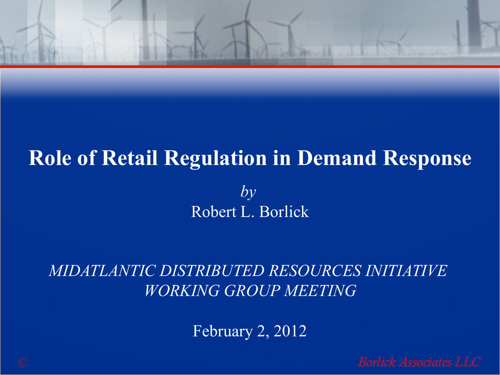

#### **Role of Retail Regulation in Demand Response**

*by*  Robert L. Borlick

*MIDATLANTIC DISTRIBUTED RESOURCES INITIATIVE WORKING GROUP MEETING*

February 2, 2012

© *Borlick Associates LLC Borlick Associates LLC*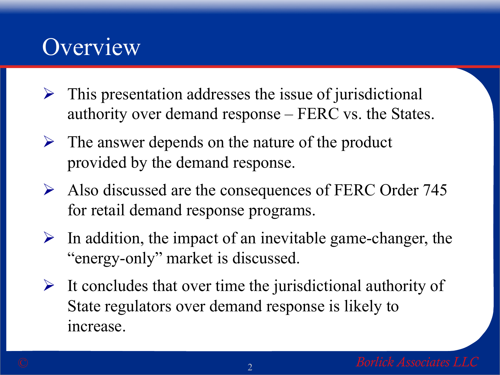#### **Overview**

- $\triangleright$  This presentation addresses the issue of jurisdictional authority over demand response – FERC vs. the States.
- $\triangleright$  The answer depends on the nature of the product provided by the demand response.
- $\triangleright$  Also discussed are the consequences of FERC Order 745 for retail demand response programs.
- $\triangleright$  In addition, the impact of an inevitable game-changer, the "energy-only" market is discussed.
- $\triangleright$  It concludes that over time the jurisdictional authority of State regulators over demand response is likely to increase.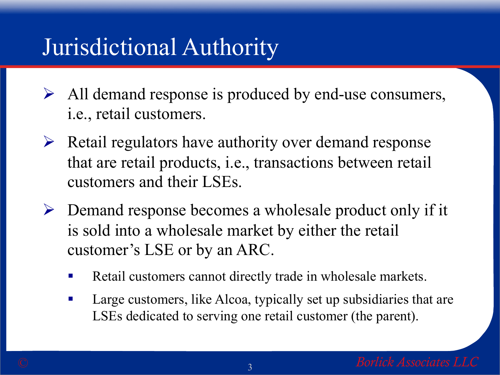# Jurisdictional Authority

- $\triangleright$  All demand response is produced by end-use consumers, i.e., retail customers.
- $\triangleright$  Retail regulators have authority over demand response that are retail products, i.e., transactions between retail customers and their LSEs.
- $\triangleright$  Demand response becomes a wholesale product only if it is sold into a wholesale market by either the retail customer's LSE or by an ARC.
	- Retail customers cannot directly trade in wholesale markets.
	- Large customers, like Alcoa, typically set up subsidiaries that are LSEs dedicated to serving one retail customer (the parent).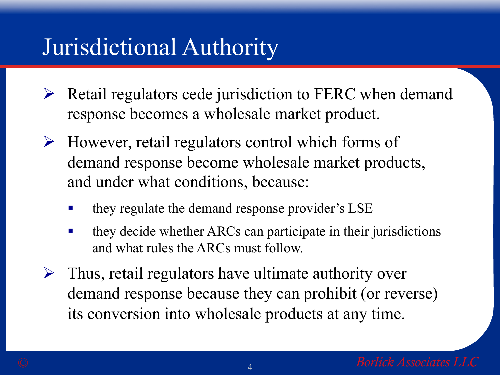# Jurisdictional Authority

- $\triangleright$  Retail regulators cede jurisdiction to FERC when demand response becomes a wholesale market product.
- $\triangleright$  However, retail regulators control which forms of demand response become wholesale market products, and under what conditions, because:
	- § they regulate the demand response provider's LSE
	- they decide whether ARCs can participate in their jurisdictions and what rules the ARCs must follow.
- $\triangleright$  Thus, retail regulators have ultimate authority over demand response because they can prohibit (or reverse) its conversion into wholesale products at any time.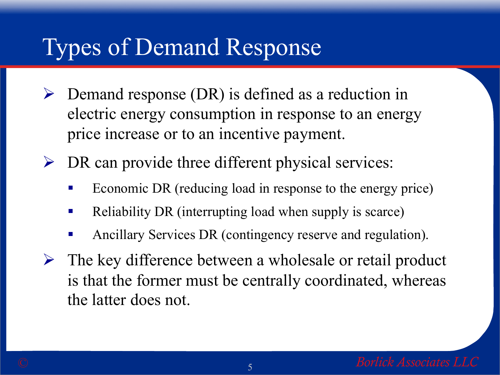# Types of Demand Response

 $\triangleright$  Demand response (DR) is defined as a reduction in electric energy consumption in response to an energy price increase or to an incentive payment.

 $\triangleright$  DR can provide three different physical services:

- Economic DR (reducing load in response to the energy price)
- Reliability DR (interrupting load when supply is scarce)
- § Ancillary Services DR (contingency reserve and regulation).
- $\triangleright$  The key difference between a wholesale or retail product is that the former must be centrally coordinated, whereas the latter does not.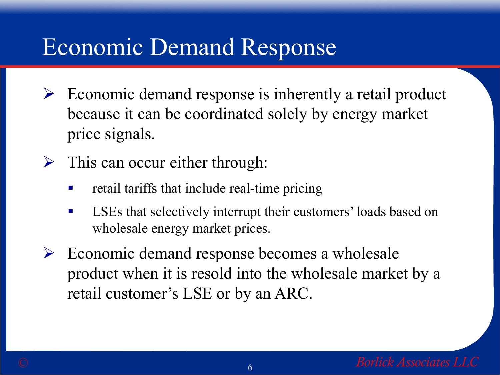- $\triangleright$  Economic demand response is inherently a retail product because it can be coordinated solely by energy market price signals.
- $\triangleright$  This can occur either through:
	- retail tariffs that include real-time pricing
	- LSEs that selectively interrupt their customers' loads based on wholesale energy market prices.
- $\triangleright$  Economic demand response becomes a wholesale product when it is resold into the wholesale market by a retail customer's LSE or by an ARC.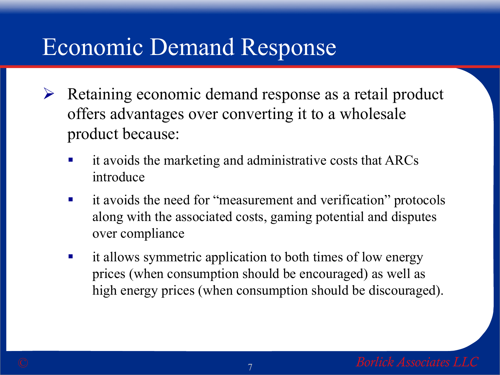- $\triangleright$  Retaining economic demand response as a retail product offers advantages over converting it to a wholesale product because:
	- it avoids the marketing and administrative costs that ARCs introduce
	- it avoids the need for "measurement and verification" protocols along with the associated costs, gaming potential and disputes over compliance
	- it allows symmetric application to both times of low energy prices (when consumption should be encouraged) as well as high energy prices (when consumption should be discouraged).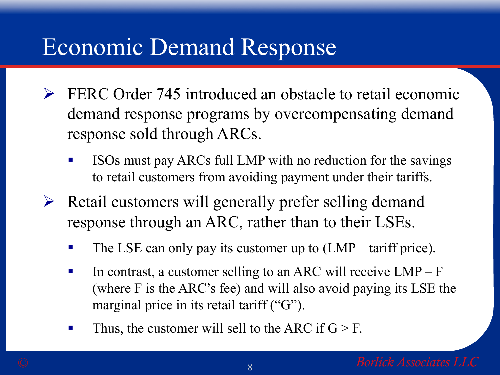- $\triangleright$  FERC Order 745 introduced an obstacle to retail economic demand response programs by overcompensating demand response sold through ARCs.
	- ISOs must pay ARCs full LMP with no reduction for the savings to retail customers from avoiding payment under their tariffs.
- $\triangleright$  Retail customers will generally prefer selling demand response through an ARC, rather than to their LSEs.
	- The LSE can only pay its customer up to (LMP tariff price).
	- **•** In contrast, a customer selling to an ARC will receive  $LMP F$ (where F is the ARC's fee) and will also avoid paying its LSE the marginal price in its retail tariff ("G").
	- Thus, the customer will sell to the ARC if  $G > F$ .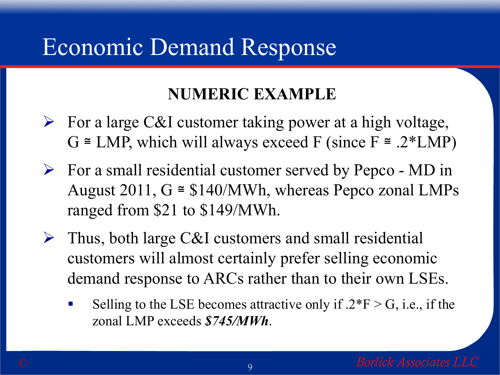#### **NUMERIC EXAMPLE**

- $\triangleright$  For a large C&I customer taking power at a high voltage,  $G \cong LMP$ , which will always exceed F (since  $F \cong .2 * LMP$ )
- $\triangleright$  For a small residential customer served by Pepco MD in August 2011,  $G \cong $140/MWh$ , whereas Pepco zonal LMPs ranged from \$21 to \$149/MWh.
- $\triangleright$  Thus, both large C&I customers and small residential customers will almost certainly prefer selling economic demand response to ARCs rather than to their own LSEs.
	- Selling to the LSE becomes attractive only if  $.2*F > G$ , i.e., if the zonal LMP exceeds *\$745/MWh*.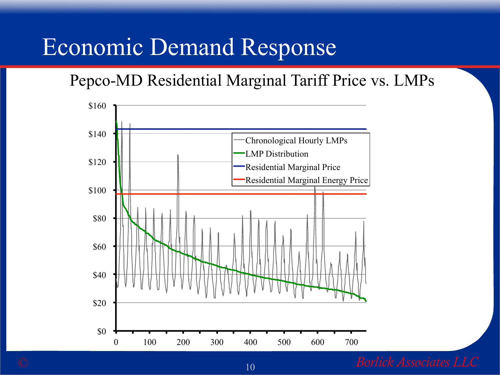Pepco-MD Residential Marginal Tariff Price vs. LMPs



© 10 *Borlick Associates LLC*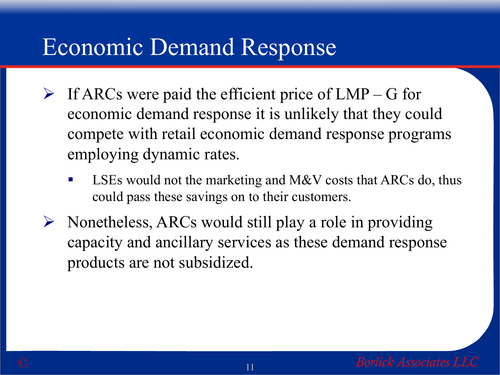- $\triangleright$  If ARCs were paid the efficient price of LMP G for economic demand response it is unlikely that they could compete with retail economic demand response programs employing dynamic rates.
	- LSEs would not the marketing and M&V costs that ARCs do, thus could pass these savings on to their customers.
- $\triangleright$  Nonetheless, ARCs would still play a role in providing capacity and ancillary services as these demand response products are not subsidized.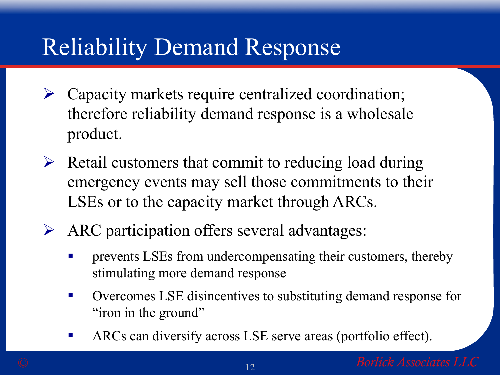- $\triangleright$  Capacity markets require centralized coordination; therefore reliability demand response is a wholesale product.
- $\triangleright$  Retail customers that commit to reducing load during emergency events may sell those commitments to their LSEs or to the capacity market through ARCs.
- $\triangleright$  ARC participation offers several advantages:
	- **•** prevents LSEs from undercompensating their customers, thereby stimulating more demand response
	- Overcomes LSE disincentives to substituting demand response for "iron in the ground"
	- ARCs can diversify across LSE serve areas (portfolio effect).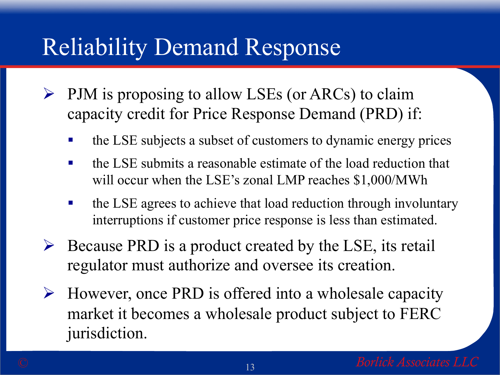- $\triangleright$  PJM is proposing to allow LSEs (or ARCs) to claim capacity credit for Price Response Demand (PRD) if:
	- the LSE subjects a subset of customers to dynamic energy prices
	- $\blacksquare$  the LSE submits a reasonable estimate of the load reduction that will occur when the LSE's zonal LMP reaches \$1,000/MWh
	- the LSE agrees to achieve that load reduction through involuntary interruptions if customer price response is less than estimated.
- $\triangleright$  Because PRD is a product created by the LSE, its retail regulator must authorize and oversee its creation.
- Ø However, once PRD is offered into a wholesale capacity market it becomes a wholesale product subject to FERC jurisdiction.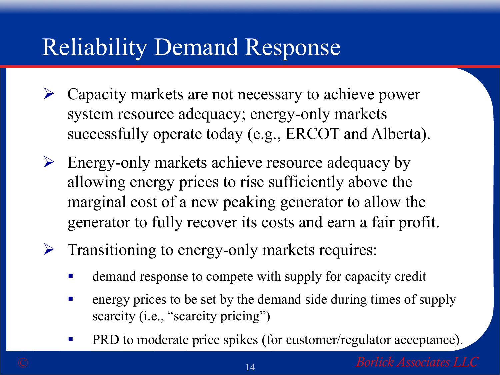- $\triangleright$  Capacity markets are not necessary to achieve power system resource adequacy; energy-only markets successfully operate today (e.g., ERCOT and Alberta).
- $\triangleright$  Energy-only markets achieve resource adequacy by allowing energy prices to rise sufficiently above the marginal cost of a new peaking generator to allow the generator to fully recover its costs and earn a fair profit.
- $\triangleright$  Transitioning to energy-only markets requires:
	- demand response to compete with supply for capacity credit
	- energy prices to be set by the demand side during times of supply scarcity (i.e., "scarcity pricing")
	- PRD to moderate price spikes (for customer/regulator acceptance).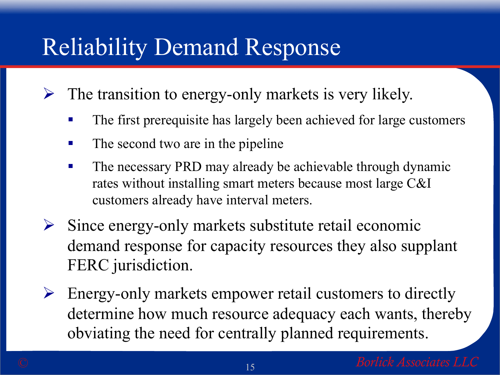- $\triangleright$  The transition to energy-only markets is very likely.
	- The first prerequisite has largely been achieved for large customers
	- The second two are in the pipeline
	- The necessary PRD may already be achievable through dynamic rates without installing smart meters because most large C&I customers already have interval meters.
- $\triangleright$  Since energy-only markets substitute retail economic demand response for capacity resources they also supplant FERC jurisdiction.
- $\triangleright$  Energy-only markets empower retail customers to directly determine how much resource adequacy each wants, thereby obviating the need for centrally planned requirements.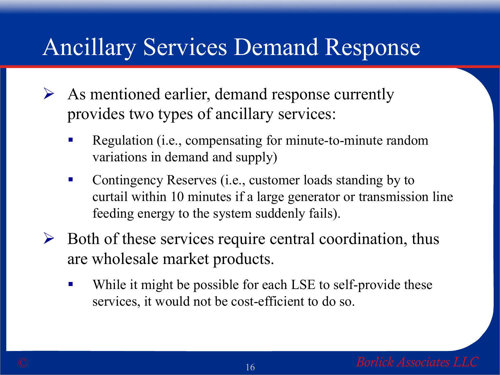# Ancillary Services Demand Response

- $\triangleright$  As mentioned earlier, demand response currently provides two types of ancillary services:
	- Regulation (i.e., compensating for minute-to-minute random variations in demand and supply)
	- Contingency Reserves (i.e., customer loads standing by to curtail within 10 minutes if a large generator or transmission line feeding energy to the system suddenly fails).
- $\triangleright$  Both of these services require central coordination, thus are wholesale market products.
	- While it might be possible for each LSE to self-provide these services, it would not be cost-efficient to do so.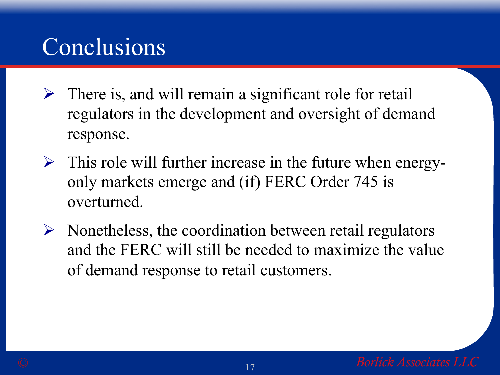# Conclusions

- $\triangleright$  There is, and will remain a significant role for retail regulators in the development and oversight of demand response.
- $\triangleright$  This role will further increase in the future when energyonly markets emerge and (if) FERC Order 745 is overturned.
- $\triangleright$  Nonetheless, the coordination between retail regulators and the FERC will still be needed to maximize the value of demand response to retail customers.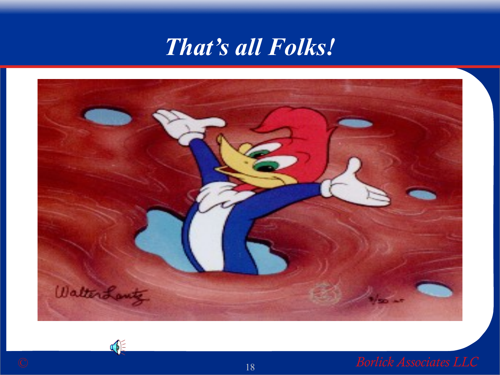



OF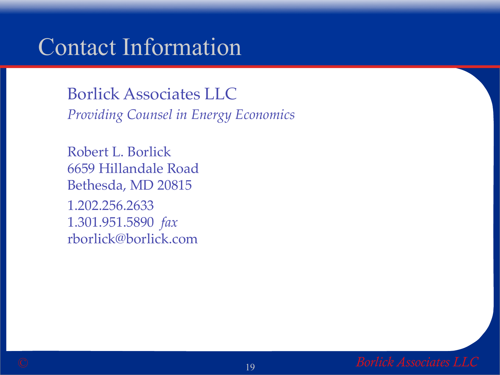#### Contact Information

Borlick Associates LLC *Providing Counsel in Energy Economics*

Robert L. Borlick 6659 Hillandale Road Bethesda, MD 20815 1.202.256.2633 1.301.951.5890 *fax* rborlick@borlick.com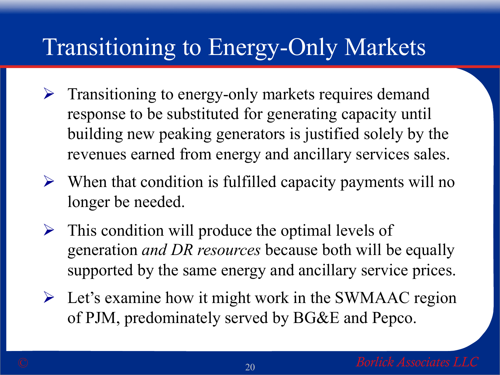- $\triangleright$  Transitioning to energy-only markets requires demand response to be substituted for generating capacity until building new peaking generators is justified solely by the revenues earned from energy and ancillary services sales.
- $\triangleright$  When that condition is fulfilled capacity payments will no longer be needed.
- $\triangleright$  This condition will produce the optimal levels of generation *and DR resources* because both will be equally supported by the same energy and ancillary service prices.
- $\triangleright$  Let's examine how it might work in the SWMAAC region of PJM, predominately served by BG&E and Pepco.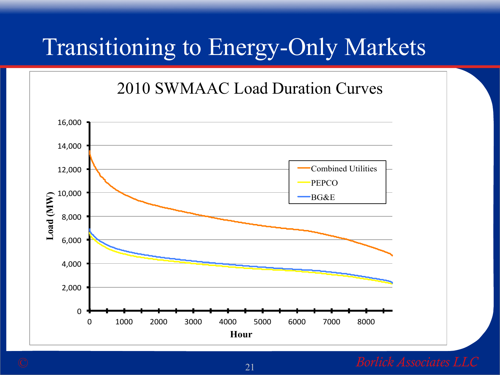2010 SWMAAC Load Duration Curves



#### © 21 *Borlick Associates LLC*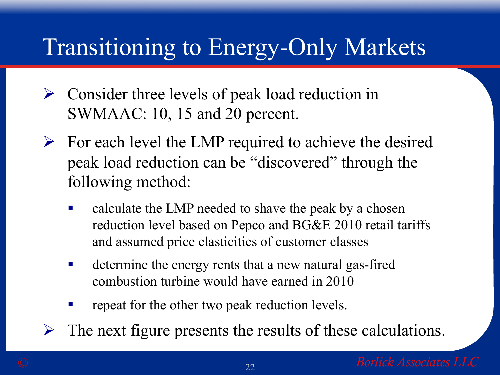- $\triangleright$  Consider three levels of peak load reduction in SWMAAC: 10, 15 and 20 percent.
- $\triangleright$  For each level the LMP required to achieve the desired peak load reduction can be "discovered" through the following method:
	- calculate the LMP needed to shave the peak by a chosen reduction level based on Pepco and BG&E 2010 retail tariffs and assumed price elasticities of customer classes
	- determine the energy rents that a new natural gas-fired combustion turbine would have earned in 2010
	- repeat for the other two peak reduction levels.
- The next figure presents the results of these calculations.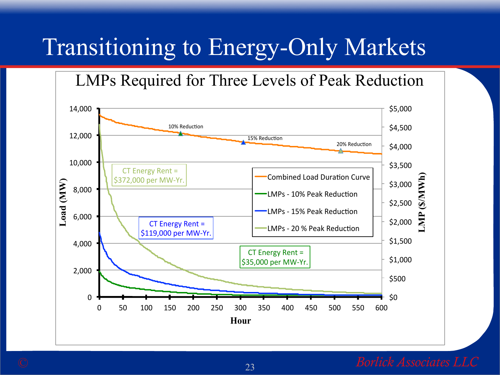LMPs Required for Three Levels of Peak Reduction